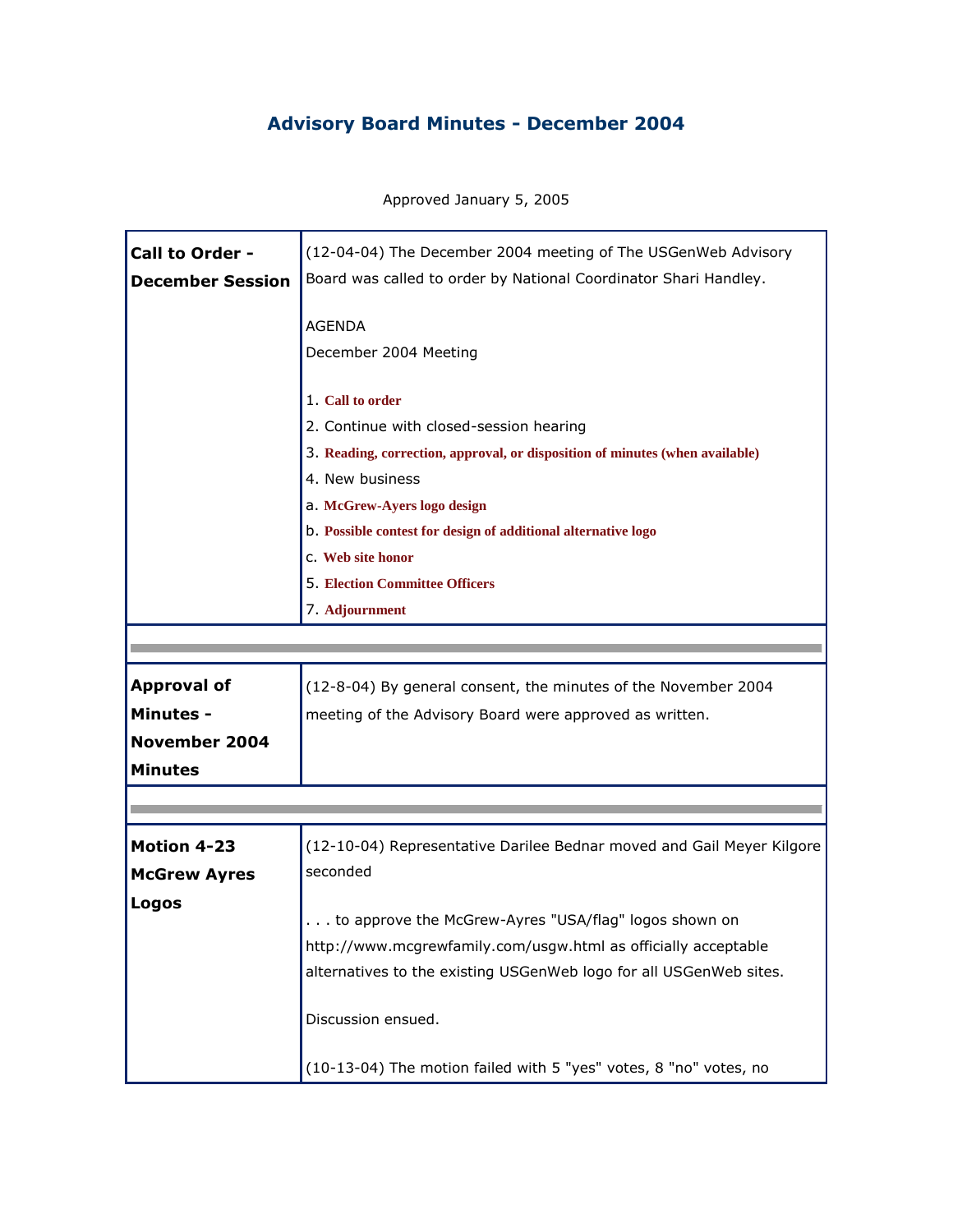## **Advisory Board Minutes - December 2004**

Approved January 5, 2005

٩

F

| Call to Order -         | (12-04-04) The December 2004 meeting of The USGenWeb Advisory                |
|-------------------------|------------------------------------------------------------------------------|
| <b>December Session</b> | Board was called to order by National Coordinator Shari Handley.             |
|                         | <b>AGENDA</b><br>December 2004 Meeting                                       |
|                         | 1. Call to order                                                             |
|                         | 2. Continue with closed-session hearing                                      |
|                         | 3. Reading, correction, approval, or disposition of minutes (when available) |
|                         | 4. New business                                                              |
|                         | a. McGrew-Ayers logo design                                                  |
|                         | b. Possible contest for design of additional alternative logo                |
|                         | C. Web site honor                                                            |
|                         | <b>5. Election Committee Officers</b>                                        |
|                         | 7. Adjournment                                                               |
|                         |                                                                              |
|                         |                                                                              |
| <b>Approval of</b>      | (12-8-04) By general consent, the minutes of the November 2004               |
| <b>Minutes -</b>        | meeting of the Advisory Board were approved as written.                      |
| <b>November 2004</b>    |                                                                              |
| <b>Minutes</b>          |                                                                              |
|                         |                                                                              |
|                         |                                                                              |
| <b>Motion 4-23</b>      | (12-10-04) Representative Darilee Bednar moved and Gail Meyer Kilgore        |
| <b>McGrew Ayres</b>     | seconded                                                                     |
| <b>Logos</b>            |                                                                              |
|                         | to approve the McGrew-Ayres "USA/flag" logos shown on                        |
|                         | http://www.mcgrewfamily.com/usgw.html as officially acceptable               |
|                         | alternatives to the existing USGenWeb logo for all USGenWeb sites.           |
|                         | Discussion ensued.                                                           |
|                         | (10-13-04) The motion failed with 5 "yes" votes, 8 "no" votes, no            |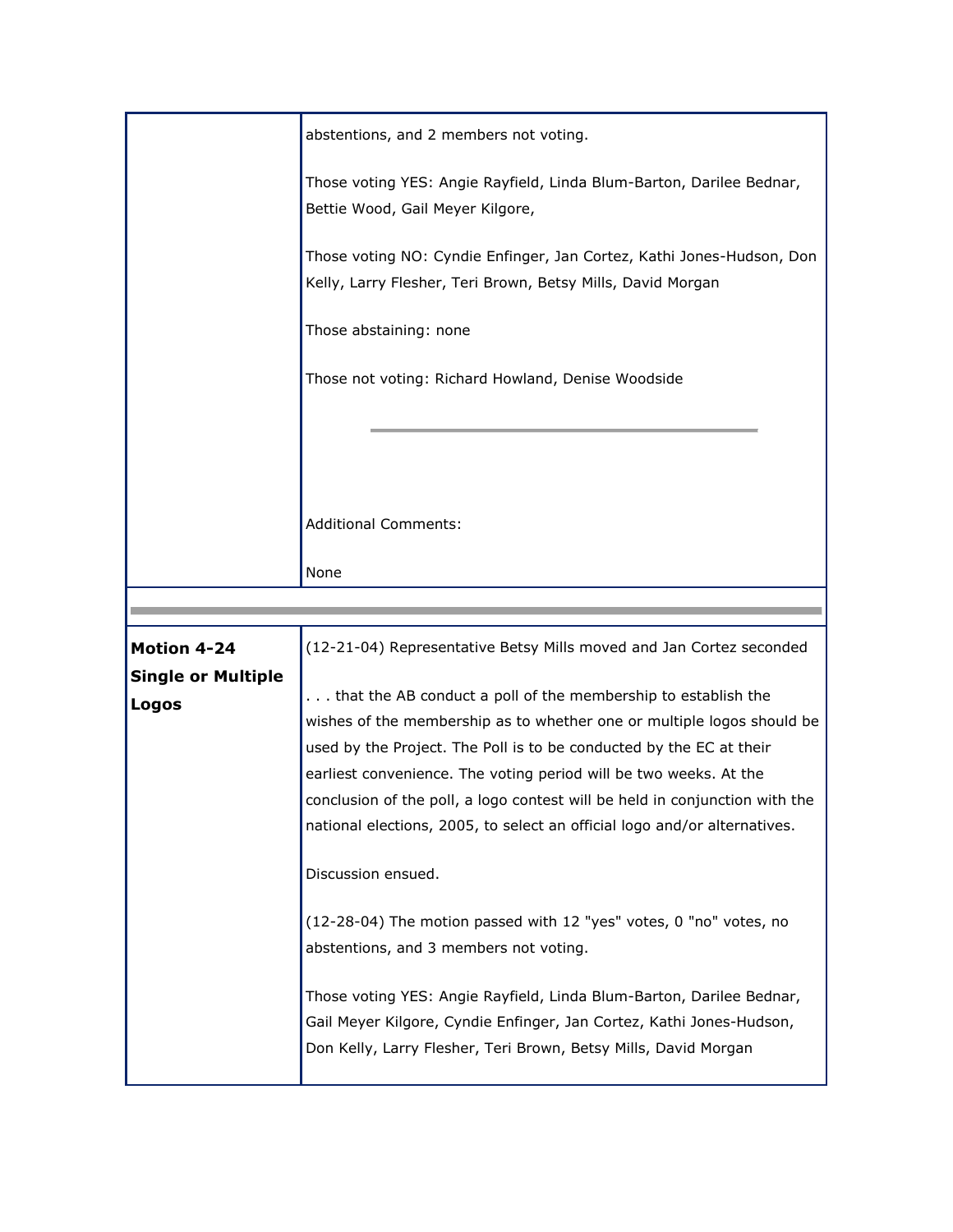|                           | abstentions, and 2 members not voting.                                                                                                           |
|---------------------------|--------------------------------------------------------------------------------------------------------------------------------------------------|
|                           | Those voting YES: Angie Rayfield, Linda Blum-Barton, Darilee Bednar,                                                                             |
|                           | Bettie Wood, Gail Meyer Kilgore,                                                                                                                 |
|                           | Those voting NO: Cyndie Enfinger, Jan Cortez, Kathi Jones-Hudson, Don                                                                            |
|                           | Kelly, Larry Flesher, Teri Brown, Betsy Mills, David Morgan                                                                                      |
|                           | Those abstaining: none                                                                                                                           |
|                           | Those not voting: Richard Howland, Denise Woodside                                                                                               |
|                           |                                                                                                                                                  |
|                           |                                                                                                                                                  |
|                           |                                                                                                                                                  |
|                           | <b>Additional Comments:</b>                                                                                                                      |
|                           | None                                                                                                                                             |
|                           |                                                                                                                                                  |
|                           |                                                                                                                                                  |
| <b>Motion 4-24</b>        | (12-21-04) Representative Betsy Mills moved and Jan Cortez seconded                                                                              |
| <b>Single or Multiple</b> |                                                                                                                                                  |
| Logos                     | that the AB conduct a poll of the membership to establish the                                                                                    |
|                           | wishes of the membership as to whether one or multiple logos should be                                                                           |
|                           | used by the Project. The Poll is to be conducted by the EC at their                                                                              |
|                           | earliest convenience. The voting period will be two weeks. At the<br>conclusion of the poll, a logo contest will be held in conjunction with the |
|                           | national elections, 2005, to select an official logo and/or alternatives.                                                                        |
|                           | Discussion ensued.                                                                                                                               |
|                           | (12-28-04) The motion passed with 12 "yes" votes, 0 "no" votes, no                                                                               |
|                           | abstentions, and 3 members not voting.                                                                                                           |
|                           | Those voting YES: Angie Rayfield, Linda Blum-Barton, Darilee Bednar,                                                                             |
|                           | Gail Meyer Kilgore, Cyndie Enfinger, Jan Cortez, Kathi Jones-Hudson,                                                                             |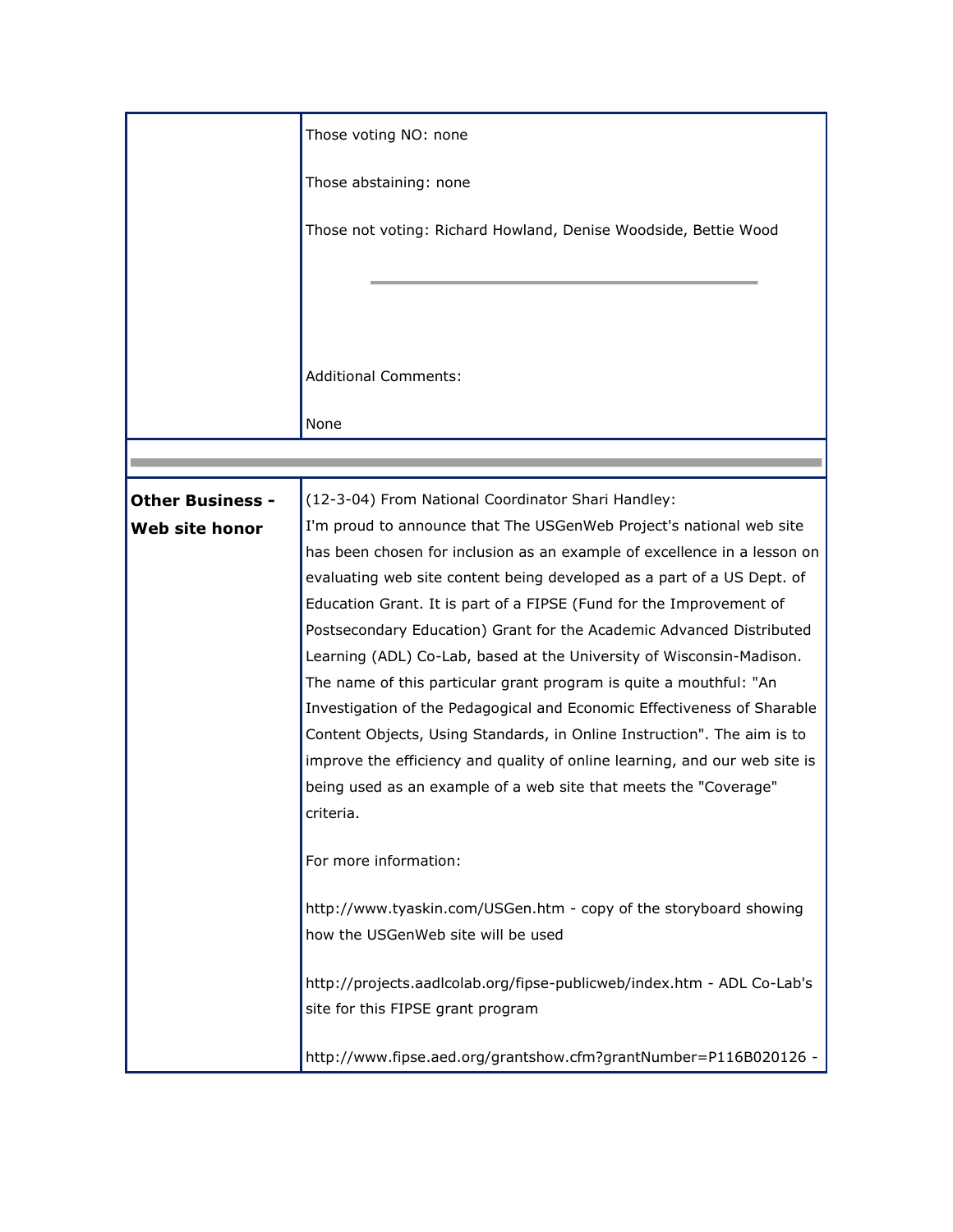|                         | Those voting NO: none                                                                                                                              |
|-------------------------|----------------------------------------------------------------------------------------------------------------------------------------------------|
|                         | Those abstaining: none                                                                                                                             |
|                         | Those not voting: Richard Howland, Denise Woodside, Bettie Wood                                                                                    |
|                         |                                                                                                                                                    |
|                         |                                                                                                                                                    |
|                         | <b>Additional Comments:</b>                                                                                                                        |
|                         | None                                                                                                                                               |
|                         |                                                                                                                                                    |
| <b>Other Business -</b> | (12-3-04) From National Coordinator Shari Handley:                                                                                                 |
| Web site honor          | I'm proud to announce that The USGenWeb Project's national web site                                                                                |
|                         | has been chosen for inclusion as an example of excellence in a lesson on                                                                           |
|                         | evaluating web site content being developed as a part of a US Dept. of                                                                             |
|                         | Education Grant. It is part of a FIPSE (Fund for the Improvement of                                                                                |
|                         | Postsecondary Education) Grant for the Academic Advanced Distributed                                                                               |
|                         | Learning (ADL) Co-Lab, based at the University of Wisconsin-Madison.                                                                               |
|                         | The name of this particular grant program is quite a mouthful: "An                                                                                 |
|                         | Investigation of the Pedagogical and Economic Effectiveness of Sharable<br>Content Objects, Using Standards, in Online Instruction". The aim is to |
|                         | improve the efficiency and quality of online learning, and our web site is                                                                         |
|                         | being used as an example of a web site that meets the "Coverage"                                                                                   |
|                         | criteria.                                                                                                                                          |
|                         |                                                                                                                                                    |
|                         | For more information:                                                                                                                              |
|                         | http://www.tyaskin.com/USGen.htm - copy of the storyboard showing                                                                                  |
|                         | how the USGenWeb site will be used                                                                                                                 |
|                         | http://projects.aadlcolab.org/fipse-publicweb/index.htm - ADL Co-Lab's                                                                             |
|                         | site for this FIPSE grant program                                                                                                                  |
|                         | http://www.fipse.aed.org/grantshow.cfm?grantNumber=P116B020126 -                                                                                   |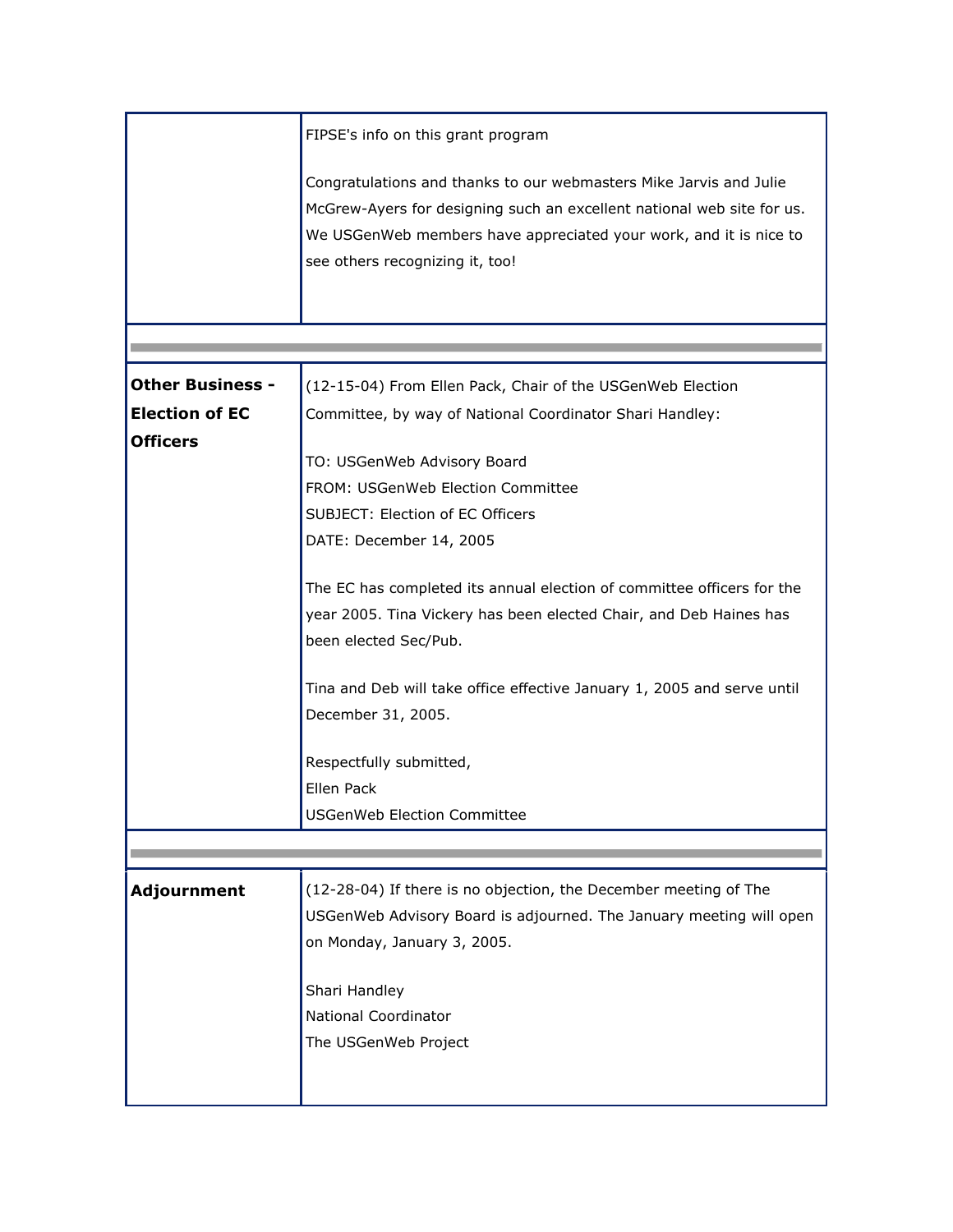|                         | FIPSE's info on this grant program                                      |
|-------------------------|-------------------------------------------------------------------------|
|                         | Congratulations and thanks to our webmasters Mike Jarvis and Julie      |
|                         | McGrew-Ayers for designing such an excellent national web site for us.  |
|                         | We USGenWeb members have appreciated your work, and it is nice to       |
|                         | see others recognizing it, too!                                         |
|                         |                                                                         |
|                         |                                                                         |
|                         |                                                                         |
|                         |                                                                         |
| <b>Other Business -</b> | (12-15-04) From Ellen Pack, Chair of the USGenWeb Election              |
| <b>Election of EC</b>   | Committee, by way of National Coordinator Shari Handley:                |
| <b>Officers</b>         | TO: USGenWeb Advisory Board                                             |
|                         |                                                                         |
|                         | FROM: USGenWeb Election Committee                                       |
|                         | SUBJECT: Election of EC Officers                                        |
|                         | DATE: December 14, 2005                                                 |
|                         | The EC has completed its annual election of committee officers for the  |
|                         | year 2005. Tina Vickery has been elected Chair, and Deb Haines has      |
|                         | been elected Sec/Pub.                                                   |
|                         |                                                                         |
|                         | Tina and Deb will take office effective January 1, 2005 and serve until |
|                         | December 31, 2005.                                                      |
|                         | Respectfully submitted,                                                 |
|                         | Ellen Pack                                                              |
|                         | <b>USGenWeb Election Committee</b>                                      |
|                         |                                                                         |
|                         |                                                                         |
| Adjournment             | (12-28-04) If there is no objection, the December meeting of The        |
|                         | USGenWeb Advisory Board is adjourned. The January meeting will open     |
|                         | on Monday, January 3, 2005.                                             |
|                         | Shari Handley                                                           |
|                         | <b>National Coordinator</b>                                             |
|                         | The USGenWeb Project                                                    |
|                         |                                                                         |
|                         |                                                                         |